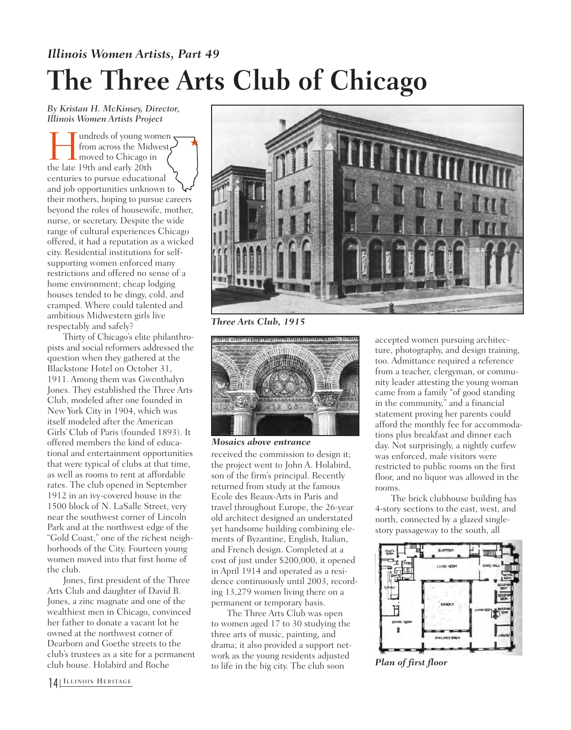## *Illinois Women Artists, Part 49* **The Three Arts Club of Chicago**

*By Kristan H. McKinsey, Director, Illinois Women Artists Project*

I undreds of young women<br>from across the Midwest<br>the late 19th and early 20th from across the Midwest moved to Chicago in the late 19th and early 20th centuries to pursue educational and job opportunities unknown to their mothers, hoping to pursue careers beyond the roles of housewife, mother, nurse, or secretary. Despite the wide range of cultural experiences Chicago offered, it had a reputation as a wicked city. Residential institutions for selfsupporting women enforced many restrictions and offered no sense of a home environment; cheap lodging houses tended to be dingy, cold, and cramped. Where could talented and ambitious Midwestern girls live respectably and safely?  $\bigstar$ 

Thirty of Chicago's elite philanthropists and social reformers addressed the question when they gathered at the Blackstone Hotel on October 31, 1911. Among them was Gwenthalyn Jones. They established the Three Arts Club, modeled after one founded in New York City in 1904, which was itself modeled after the American Girls' Club of Paris (founded 1893). It offered members the kind of educational and entertainment opportunities that were typical of clubs at that time, as well as rooms to rent at affordable rates. The club opened in September 1912 in an ivy-covered house in the 1500 block of N. LaSalle Street, very near the southwest corner of Lincoln Park and at the northwest edge of the "Gold Coast," one of the richest neighborhoods of the City. Fourteen young women moved into that first home of the club.

Jones, first president of the Three Arts Club and daughter of David B. Jones, a zinc magnate and one of the wealthiest men in Chicago, convinced her father to donate a vacant lot he owned at the northwest corner of Dearborn and Goethe streets to the club's trustees as a site for a permanent club house. Holabird and Roche



*Three Arts Club, 1915*



*Mosaics above entrance*

received the commission to design it; the project went to John A. Holabird, son of the firm's principal. Recently returned from study at the famous Ecole des Beaux-Arts in Paris and travel throughout Europe, the 26-year old architect designed an understated yet handsome building combining elements of Byzantine, English, Italian, and French design. Completed at a cost of just under \$200,000, it opened in April 1914 and operated as a residence continuously until 2003, recording 13,279 women living there on a permanent or temporary basis.

The Three Arts Club was open to women aged 17 to 30 studying the three arts of music, painting, and drama; it also provided a support network as the young residents adjusted to life in the big city. The club soon

accepted women pursuing architecture, photography, and design training, too. Admittance required a reference from a teacher, clergyman, or community leader attesting the young woman came from a family "of good standing in the community," and a financial statement proving her parents could afford the monthly fee for accommodations plus breakfast and dinner each day. Not surprisingly, a nightly curfew was enforced, male visitors were restricted to public rooms on the first floor, and no liquor was allowed in the rooms.

The brick clubhouse building has 4-story sections to the east, west, and north, connected by a glazed singlestory passageway to the south, all



*Plan of first floor*